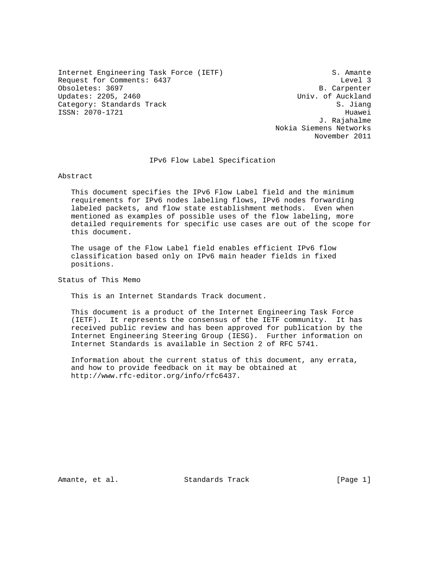Internet Engineering Task Force (IETF) S. Amante Request for Comments: 6437 Level 3 Obsoletes: 3697 B. Carpenter Updates: 2205, 2460 Category: Standards Track S. Jiang S. Jiang ISSN: 2070-1721 Huawei

 J. Rajahalme Nokia Siemens Networks November 2011

IPv6 Flow Label Specification

Abstract

 This document specifies the IPv6 Flow Label field and the minimum requirements for IPv6 nodes labeling flows, IPv6 nodes forwarding labeled packets, and flow state establishment methods. Even when mentioned as examples of possible uses of the flow labeling, more detailed requirements for specific use cases are out of the scope for this document.

 The usage of the Flow Label field enables efficient IPv6 flow classification based only on IPv6 main header fields in fixed positions.

Status of This Memo

This is an Internet Standards Track document.

 This document is a product of the Internet Engineering Task Force (IETF). It represents the consensus of the IETF community. It has received public review and has been approved for publication by the Internet Engineering Steering Group (IESG). Further information on Internet Standards is available in Section 2 of RFC 5741.

 Information about the current status of this document, any errata, and how to provide feedback on it may be obtained at http://www.rfc-editor.org/info/rfc6437.

Amante, et al. Standards Track [Page 1]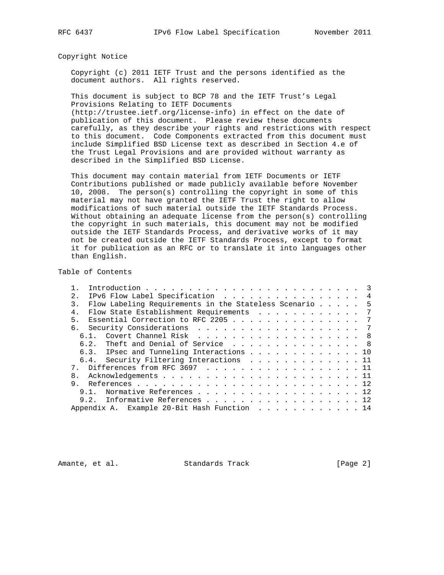#### Copyright Notice

 Copyright (c) 2011 IETF Trust and the persons identified as the document authors. All rights reserved.

 This document is subject to BCP 78 and the IETF Trust's Legal Provisions Relating to IETF Documents

 (http://trustee.ietf.org/license-info) in effect on the date of publication of this document. Please review these documents carefully, as they describe your rights and restrictions with respect to this document. Code Components extracted from this document must include Simplified BSD License text as described in Section 4.e of the Trust Legal Provisions and are provided without warranty as described in the Simplified BSD License.

 This document may contain material from IETF Documents or IETF Contributions published or made publicly available before November 10, 2008. The person(s) controlling the copyright in some of this material may not have granted the IETF Trust the right to allow modifications of such material outside the IETF Standards Process. Without obtaining an adequate license from the person(s) controlling the copyright in such materials, this document may not be modified outside the IETF Standards Process, and derivative works of it may not be created outside the IETF Standards Process, except to format it for publication as an RFC or to translate it into languages other than English.

# Table of Contents

| 2.1            |      | IPv6 Flow Label Specification 4                        |  |  |  |  |  |  |
|----------------|------|--------------------------------------------------------|--|--|--|--|--|--|
| $\mathcal{E}$  |      | Flow Labeling Requirements in the Stateless Scenario 5 |  |  |  |  |  |  |
| 4 <sub>1</sub> |      | Flow State Establishment Requirements 7                |  |  |  |  |  |  |
| 5              |      | Essential Correction to RFC 2205 7                     |  |  |  |  |  |  |
|                |      |                                                        |  |  |  |  |  |  |
|                | 6.1. | Covert Channel Risk 8                                  |  |  |  |  |  |  |
|                |      | 6.2. Theft and Denial of Service  8                    |  |  |  |  |  |  |
|                |      | 6.3. IPsec and Tunneling Interactions 10               |  |  |  |  |  |  |
|                |      | 6.4. Security Filtering Interactions 11                |  |  |  |  |  |  |
|                |      | 7. Differences from RFC 3697 11                        |  |  |  |  |  |  |
|                |      |                                                        |  |  |  |  |  |  |
| 9              |      |                                                        |  |  |  |  |  |  |
|                |      | 9.1. Normative References 12                           |  |  |  |  |  |  |
|                |      | 9.2. Informative References 12                         |  |  |  |  |  |  |
|                |      | Appendix A. Example 20-Bit Hash Function 14            |  |  |  |  |  |  |

Amante, et al. Standards Track [Page 2]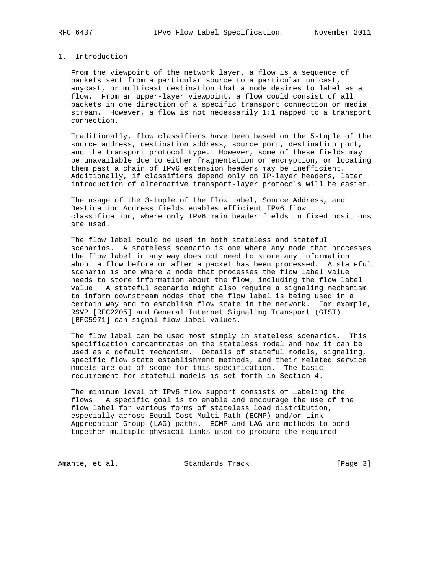# 1. Introduction

 From the viewpoint of the network layer, a flow is a sequence of packets sent from a particular source to a particular unicast, anycast, or multicast destination that a node desires to label as a flow. From an upper-layer viewpoint, a flow could consist of all packets in one direction of a specific transport connection or media stream. However, a flow is not necessarily 1:1 mapped to a transport connection.

 Traditionally, flow classifiers have been based on the 5-tuple of the source address, destination address, source port, destination port, and the transport protocol type. However, some of these fields may be unavailable due to either fragmentation or encryption, or locating them past a chain of IPv6 extension headers may be inefficient. Additionally, if classifiers depend only on IP-layer headers, later introduction of alternative transport-layer protocols will be easier.

 The usage of the 3-tuple of the Flow Label, Source Address, and Destination Address fields enables efficient IPv6 flow classification, where only IPv6 main header fields in fixed positions are used.

 The flow label could be used in both stateless and stateful scenarios. A stateless scenario is one where any node that processes the flow label in any way does not need to store any information about a flow before or after a packet has been processed. A stateful scenario is one where a node that processes the flow label value needs to store information about the flow, including the flow label value. A stateful scenario might also require a signaling mechanism to inform downstream nodes that the flow label is being used in a certain way and to establish flow state in the network. For example, RSVP [RFC2205] and General Internet Signaling Transport (GIST) [RFC5971] can signal flow label values.

 The flow label can be used most simply in stateless scenarios. This specification concentrates on the stateless model and how it can be used as a default mechanism. Details of stateful models, signaling, specific flow state establishment methods, and their related service models are out of scope for this specification. The basic requirement for stateful models is set forth in Section 4.

 The minimum level of IPv6 flow support consists of labeling the flows. A specific goal is to enable and encourage the use of the flow label for various forms of stateless load distribution, especially across Equal Cost Multi-Path (ECMP) and/or Link Aggregation Group (LAG) paths. ECMP and LAG are methods to bond together multiple physical links used to procure the required

Amante, et al. Standards Track [Page 3]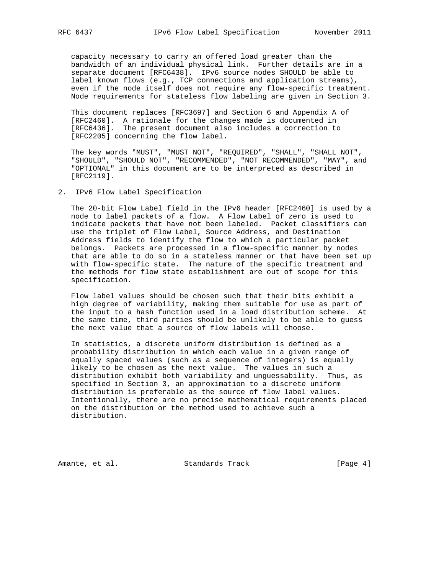capacity necessary to carry an offered load greater than the bandwidth of an individual physical link. Further details are in a separate document [RFC6438]. IPv6 source nodes SHOULD be able to label known flows (e.g., TCP connections and application streams), even if the node itself does not require any flow-specific treatment. Node requirements for stateless flow labeling are given in Section 3.

 This document replaces [RFC3697] and Section 6 and Appendix A of [RFC2460]. A rationale for the changes made is documented in [RFC6436]. The present document also includes a correction to [RFC2205] concerning the flow label.

 The key words "MUST", "MUST NOT", "REQUIRED", "SHALL", "SHALL NOT", "SHOULD", "SHOULD NOT", "RECOMMENDED", "NOT RECOMMENDED", "MAY", and "OPTIONAL" in this document are to be interpreted as described in [RFC2119].

2. IPv6 Flow Label Specification

 The 20-bit Flow Label field in the IPv6 header [RFC2460] is used by a node to label packets of a flow. A Flow Label of zero is used to indicate packets that have not been labeled. Packet classifiers can use the triplet of Flow Label, Source Address, and Destination Address fields to identify the flow to which a particular packet belongs. Packets are processed in a flow-specific manner by nodes that are able to do so in a stateless manner or that have been set up with flow-specific state. The nature of the specific treatment and the methods for flow state establishment are out of scope for this specification.

 Flow label values should be chosen such that their bits exhibit a high degree of variability, making them suitable for use as part of the input to a hash function used in a load distribution scheme. At the same time, third parties should be unlikely to be able to guess the next value that a source of flow labels will choose.

 In statistics, a discrete uniform distribution is defined as a probability distribution in which each value in a given range of equally spaced values (such as a sequence of integers) is equally likely to be chosen as the next value. The values in such a distribution exhibit both variability and unguessability. Thus, as specified in Section 3, an approximation to a discrete uniform distribution is preferable as the source of flow label values. Intentionally, there are no precise mathematical requirements placed on the distribution or the method used to achieve such a distribution.

Amante, et al. Standards Track [Page 4]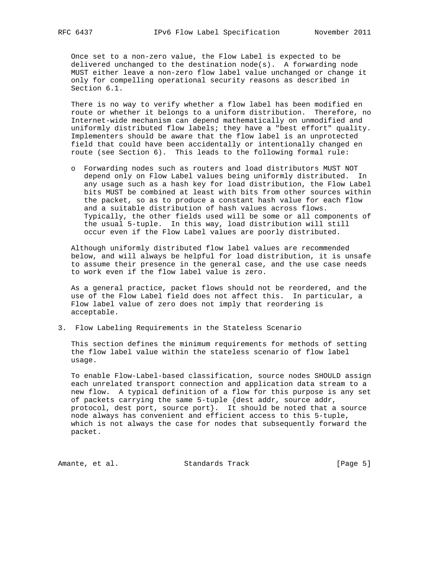Once set to a non-zero value, the Flow Label is expected to be delivered unchanged to the destination node(s). A forwarding node MUST either leave a non-zero flow label value unchanged or change it only for compelling operational security reasons as described in Section 6.1.

 There is no way to verify whether a flow label has been modified en route or whether it belongs to a uniform distribution. Therefore, no Internet-wide mechanism can depend mathematically on unmodified and uniformly distributed flow labels; they have a "best effort" quality. Implementers should be aware that the flow label is an unprotected field that could have been accidentally or intentionally changed en route (see Section 6). This leads to the following formal rule:

 o Forwarding nodes such as routers and load distributors MUST NOT depend only on Flow Label values being uniformly distributed. In any usage such as a hash key for load distribution, the Flow Label bits MUST be combined at least with bits from other sources within the packet, so as to produce a constant hash value for each flow and a suitable distribution of hash values across flows. Typically, the other fields used will be some or all components of the usual 5-tuple. In this way, load distribution will still occur even if the Flow Label values are poorly distributed.

 Although uniformly distributed flow label values are recommended below, and will always be helpful for load distribution, it is unsafe to assume their presence in the general case, and the use case needs to work even if the flow label value is zero.

 As a general practice, packet flows should not be reordered, and the use of the Flow Label field does not affect this. In particular, a Flow label value of zero does not imply that reordering is acceptable.

3. Flow Labeling Requirements in the Stateless Scenario

 This section defines the minimum requirements for methods of setting the flow label value within the stateless scenario of flow label usage.

 To enable Flow-Label-based classification, source nodes SHOULD assign each unrelated transport connection and application data stream to a new flow. A typical definition of a flow for this purpose is any set of packets carrying the same 5-tuple {dest addr, source addr, protocol, dest port, source port}. It should be noted that a source node always has convenient and efficient access to this 5-tuple, which is not always the case for nodes that subsequently forward the packet.

Amante, et al. Standards Track [Page 5]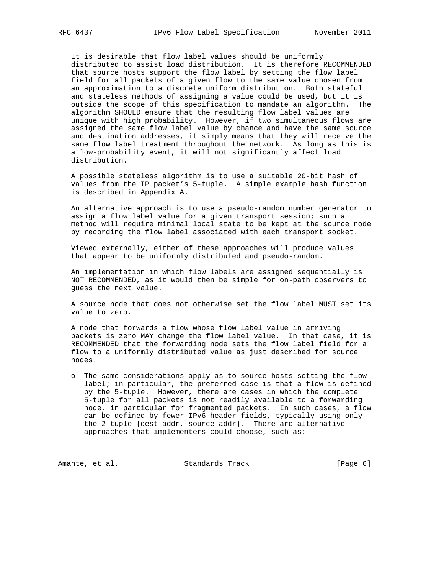It is desirable that flow label values should be uniformly distributed to assist load distribution. It is therefore RECOMMENDED that source hosts support the flow label by setting the flow label field for all packets of a given flow to the same value chosen from an approximation to a discrete uniform distribution. Both stateful and stateless methods of assigning a value could be used, but it is outside the scope of this specification to mandate an algorithm. The algorithm SHOULD ensure that the resulting flow label values are unique with high probability. However, if two simultaneous flows are assigned the same flow label value by chance and have the same source and destination addresses, it simply means that they will receive the same flow label treatment throughout the network. As long as this is a low-probability event, it will not significantly affect load distribution.

 A possible stateless algorithm is to use a suitable 20-bit hash of values from the IP packet's 5-tuple. A simple example hash function is described in Appendix A.

 An alternative approach is to use a pseudo-random number generator to assign a flow label value for a given transport session; such a method will require minimal local state to be kept at the source node by recording the flow label associated with each transport socket.

 Viewed externally, either of these approaches will produce values that appear to be uniformly distributed and pseudo-random.

 An implementation in which flow labels are assigned sequentially is NOT RECOMMENDED, as it would then be simple for on-path observers to guess the next value.

 A source node that does not otherwise set the flow label MUST set its value to zero.

 A node that forwards a flow whose flow label value in arriving packets is zero MAY change the flow label value. In that case, it is RECOMMENDED that the forwarding node sets the flow label field for a flow to a uniformly distributed value as just described for source nodes.

 o The same considerations apply as to source hosts setting the flow label; in particular, the preferred case is that a flow is defined by the 5-tuple. However, there are cases in which the complete 5-tuple for all packets is not readily available to a forwarding node, in particular for fragmented packets. In such cases, a flow can be defined by fewer IPv6 header fields, typically using only the 2-tuple {dest addr, source addr}. There are alternative approaches that implementers could choose, such as:

Amante, et al. Standards Track [Page 6]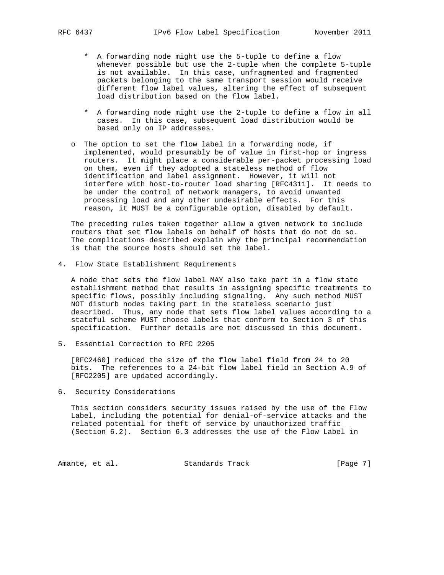- \* A forwarding node might use the 5-tuple to define a flow whenever possible but use the 2-tuple when the complete 5-tuple is not available. In this case, unfragmented and fragmented packets belonging to the same transport session would receive different flow label values, altering the effect of subsequent load distribution based on the flow label.
- \* A forwarding node might use the 2-tuple to define a flow in all cases. In this case, subsequent load distribution would be based only on IP addresses.
- o The option to set the flow label in a forwarding node, if implemented, would presumably be of value in first-hop or ingress routers. It might place a considerable per-packet processing load on them, even if they adopted a stateless method of flow identification and label assignment. However, it will not interfere with host-to-router load sharing [RFC4311]. It needs to be under the control of network managers, to avoid unwanted processing load and any other undesirable effects. For this reason, it MUST be a configurable option, disabled by default.

 The preceding rules taken together allow a given network to include routers that set flow labels on behalf of hosts that do not do so. The complications described explain why the principal recommendation is that the source hosts should set the label.

4. Flow State Establishment Requirements

 A node that sets the flow label MAY also take part in a flow state establishment method that results in assigning specific treatments to specific flows, possibly including signaling. Any such method MUST NOT disturb nodes taking part in the stateless scenario just described. Thus, any node that sets flow label values according to a stateful scheme MUST choose labels that conform to Section 3 of this specification. Further details are not discussed in this document.

5. Essential Correction to RFC 2205

 [RFC2460] reduced the size of the flow label field from 24 to 20 bits. The references to a 24-bit flow label field in Section A.9 of [RFC2205] are updated accordingly.

6. Security Considerations

 This section considers security issues raised by the use of the Flow Label, including the potential for denial-of-service attacks and the related potential for theft of service by unauthorized traffic (Section 6.2). Section 6.3 addresses the use of the Flow Label in

Amante, et al. Standards Track [Page 7]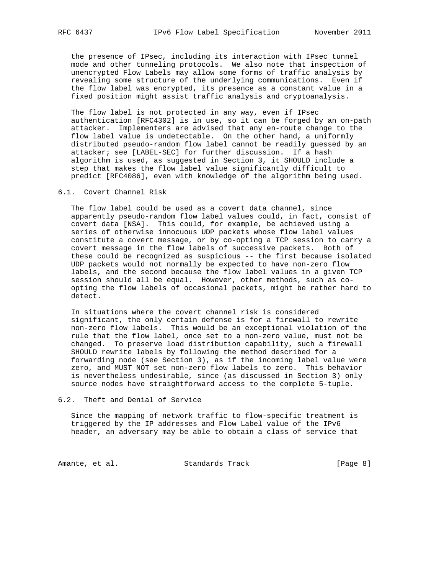the presence of IPsec, including its interaction with IPsec tunnel mode and other tunneling protocols. We also note that inspection of unencrypted Flow Labels may allow some forms of traffic analysis by revealing some structure of the underlying communications. Even if the flow label was encrypted, its presence as a constant value in a fixed position might assist traffic analysis and cryptoanalysis.

 The flow label is not protected in any way, even if IPsec authentication [RFC4302] is in use, so it can be forged by an on-path attacker. Implementers are advised that any en-route change to the flow label value is undetectable. On the other hand, a uniformly distributed pseudo-random flow label cannot be readily guessed by an attacker; see [LABEL-SEC] for further discussion. If a hash algorithm is used, as suggested in Section 3, it SHOULD include a step that makes the flow label value significantly difficult to predict [RFC4086], even with knowledge of the algorithm being used.

# 6.1. Covert Channel Risk

 The flow label could be used as a covert data channel, since apparently pseudo-random flow label values could, in fact, consist of covert data [NSA]. This could, for example, be achieved using a series of otherwise innocuous UDP packets whose flow label values constitute a covert message, or by co-opting a TCP session to carry a covert message in the flow labels of successive packets. Both of these could be recognized as suspicious -- the first because isolated UDP packets would not normally be expected to have non-zero flow labels, and the second because the flow label values in a given TCP session should all be equal. However, other methods, such as co opting the flow labels of occasional packets, might be rather hard to detect.

 In situations where the covert channel risk is considered significant, the only certain defense is for a firewall to rewrite non-zero flow labels. This would be an exceptional violation of the rule that the flow label, once set to a non-zero value, must not be changed. To preserve load distribution capability, such a firewall SHOULD rewrite labels by following the method described for a forwarding node (see Section 3), as if the incoming label value were zero, and MUST NOT set non-zero flow labels to zero. This behavior is nevertheless undesirable, since (as discussed in Section 3) only source nodes have straightforward access to the complete 5-tuple.

## 6.2. Theft and Denial of Service

 Since the mapping of network traffic to flow-specific treatment is triggered by the IP addresses and Flow Label value of the IPv6 header, an adversary may be able to obtain a class of service that

Amante, et al. Standards Track [Page 8]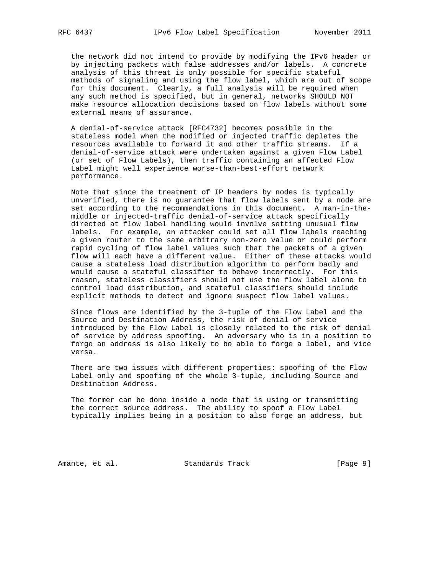the network did not intend to provide by modifying the IPv6 header or by injecting packets with false addresses and/or labels. A concrete analysis of this threat is only possible for specific stateful methods of signaling and using the flow label, which are out of scope for this document. Clearly, a full analysis will be required when any such method is specified, but in general, networks SHOULD NOT make resource allocation decisions based on flow labels without some external means of assurance.

 A denial-of-service attack [RFC4732] becomes possible in the stateless model when the modified or injected traffic depletes the resources available to forward it and other traffic streams. If a denial-of-service attack were undertaken against a given Flow Label (or set of Flow Labels), then traffic containing an affected Flow Label might well experience worse-than-best-effort network performance.

 Note that since the treatment of IP headers by nodes is typically unverified, there is no guarantee that flow labels sent by a node are set according to the recommendations in this document. A man-in-the middle or injected-traffic denial-of-service attack specifically directed at flow label handling would involve setting unusual flow labels. For example, an attacker could set all flow labels reaching a given router to the same arbitrary non-zero value or could perform rapid cycling of flow label values such that the packets of a given flow will each have a different value. Either of these attacks would cause a stateless load distribution algorithm to perform badly and would cause a stateful classifier to behave incorrectly. For this reason, stateless classifiers should not use the flow label alone to control load distribution, and stateful classifiers should include explicit methods to detect and ignore suspect flow label values.

 Since flows are identified by the 3-tuple of the Flow Label and the Source and Destination Address, the risk of denial of service introduced by the Flow Label is closely related to the risk of denial of service by address spoofing. An adversary who is in a position to forge an address is also likely to be able to forge a label, and vice versa.

 There are two issues with different properties: spoofing of the Flow Label only and spoofing of the whole 3-tuple, including Source and Destination Address.

 The former can be done inside a node that is using or transmitting the correct source address. The ability to spoof a Flow Label typically implies being in a position to also forge an address, but

Amante, et al. Standards Track [Page 9]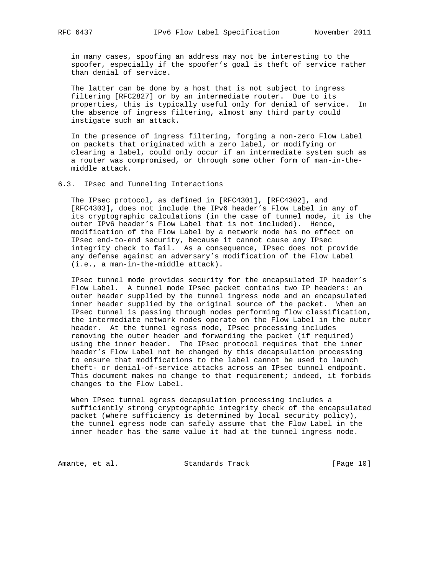in many cases, spoofing an address may not be interesting to the spoofer, especially if the spoofer's goal is theft of service rather than denial of service.

 The latter can be done by a host that is not subject to ingress filtering [RFC2827] or by an intermediate router. Due to its properties, this is typically useful only for denial of service. In the absence of ingress filtering, almost any third party could instigate such an attack.

 In the presence of ingress filtering, forging a non-zero Flow Label on packets that originated with a zero label, or modifying or clearing a label, could only occur if an intermediate system such as a router was compromised, or through some other form of man-in-the middle attack.

6.3. IPsec and Tunneling Interactions

 The IPsec protocol, as defined in [RFC4301], [RFC4302], and [RFC4303], does not include the IPv6 header's Flow Label in any of its cryptographic calculations (in the case of tunnel mode, it is the outer IPv6 header's Flow Label that is not included). Hence, modification of the Flow Label by a network node has no effect on IPsec end-to-end security, because it cannot cause any IPsec integrity check to fail. As a consequence, IPsec does not provide any defense against an adversary's modification of the Flow Label (i.e., a man-in-the-middle attack).

 IPsec tunnel mode provides security for the encapsulated IP header's Flow Label. A tunnel mode IPsec packet contains two IP headers: an outer header supplied by the tunnel ingress node and an encapsulated inner header supplied by the original source of the packet. When an IPsec tunnel is passing through nodes performing flow classification, the intermediate network nodes operate on the Flow Label in the outer header. At the tunnel egress node, IPsec processing includes removing the outer header and forwarding the packet (if required) using the inner header. The IPsec protocol requires that the inner header's Flow Label not be changed by this decapsulation processing to ensure that modifications to the label cannot be used to launch theft- or denial-of-service attacks across an IPsec tunnel endpoint. This document makes no change to that requirement; indeed, it forbids changes to the Flow Label.

 When IPsec tunnel egress decapsulation processing includes a sufficiently strong cryptographic integrity check of the encapsulated packet (where sufficiency is determined by local security policy), the tunnel egress node can safely assume that the Flow Label in the inner header has the same value it had at the tunnel ingress node.

Amante, et al. Standards Track [Page 10]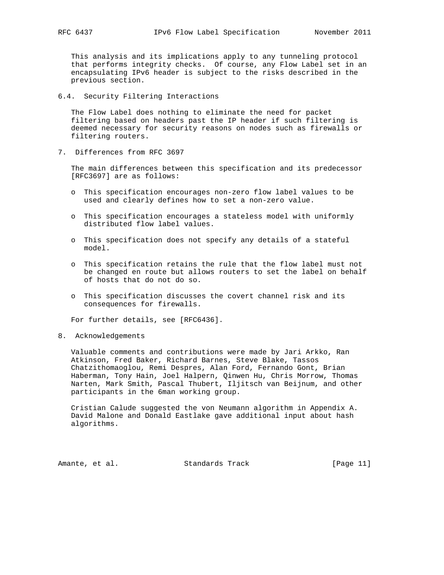This analysis and its implications apply to any tunneling protocol that performs integrity checks. Of course, any Flow Label set in an encapsulating IPv6 header is subject to the risks described in the previous section.

6.4. Security Filtering Interactions

 The Flow Label does nothing to eliminate the need for packet filtering based on headers past the IP header if such filtering is deemed necessary for security reasons on nodes such as firewalls or filtering routers.

7. Differences from RFC 3697

 The main differences between this specification and its predecessor [RFC3697] are as follows:

- o This specification encourages non-zero flow label values to be used and clearly defines how to set a non-zero value.
- o This specification encourages a stateless model with uniformly distributed flow label values.
- o This specification does not specify any details of a stateful model.
- o This specification retains the rule that the flow label must not be changed en route but allows routers to set the label on behalf of hosts that do not do so.
- o This specification discusses the covert channel risk and its consequences for firewalls.

For further details, see [RFC6436].

8. Acknowledgements

 Valuable comments and contributions were made by Jari Arkko, Ran Atkinson, Fred Baker, Richard Barnes, Steve Blake, Tassos Chatzithomaoglou, Remi Despres, Alan Ford, Fernando Gont, Brian Haberman, Tony Hain, Joel Halpern, Qinwen Hu, Chris Morrow, Thomas Narten, Mark Smith, Pascal Thubert, Iljitsch van Beijnum, and other participants in the 6man working group.

 Cristian Calude suggested the von Neumann algorithm in Appendix A. David Malone and Donald Eastlake gave additional input about hash algorithms.

Amante, et al. Standards Track [Page 11]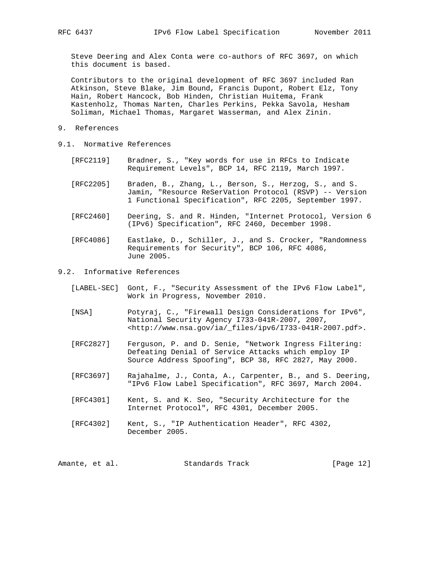Steve Deering and Alex Conta were co-authors of RFC 3697, on which this document is based.

 Contributors to the original development of RFC 3697 included Ran Atkinson, Steve Blake, Jim Bound, Francis Dupont, Robert Elz, Tony Hain, Robert Hancock, Bob Hinden, Christian Huitema, Frank Kastenholz, Thomas Narten, Charles Perkins, Pekka Savola, Hesham Soliman, Michael Thomas, Margaret Wasserman, and Alex Zinin.

- 9. References
- 9.1. Normative References
	- [RFC2119] Bradner, S., "Key words for use in RFCs to Indicate Requirement Levels", BCP 14, RFC 2119, March 1997.
	- [RFC2205] Braden, B., Zhang, L., Berson, S., Herzog, S., and S. Jamin, "Resource ReSerVation Protocol (RSVP) -- Version 1 Functional Specification", RFC 2205, September 1997.
	- [RFC2460] Deering, S. and R. Hinden, "Internet Protocol, Version 6 (IPv6) Specification", RFC 2460, December 1998.
	- [RFC4086] Eastlake, D., Schiller, J., and S. Crocker, "Randomness Requirements for Security", BCP 106, RFC 4086, June 2005.

### 9.2. Informative References

- [LABEL-SEC] Gont, F., "Security Assessment of the IPv6 Flow Label", Work in Progress, November 2010.
- [NSA] Potyraj, C., "Firewall Design Considerations for IPv6", National Security Agency I733-041R-2007, 2007, <http://www.nsa.gov/ia/\_files/ipv6/I733-041R-2007.pdf>.
- [RFC2827] Ferguson, P. and D. Senie, "Network Ingress Filtering: Defeating Denial of Service Attacks which employ IP Source Address Spoofing", BCP 38, RFC 2827, May 2000.
- [RFC3697] Rajahalme, J., Conta, A., Carpenter, B., and S. Deering, "IPv6 Flow Label Specification", RFC 3697, March 2004.
- [RFC4301] Kent, S. and K. Seo, "Security Architecture for the Internet Protocol", RFC 4301, December 2005.
- [RFC4302] Kent, S., "IP Authentication Header", RFC 4302, December 2005.

| Amante, et al. | Standards Track | [Page $12$ ] |
|----------------|-----------------|--------------|
|----------------|-----------------|--------------|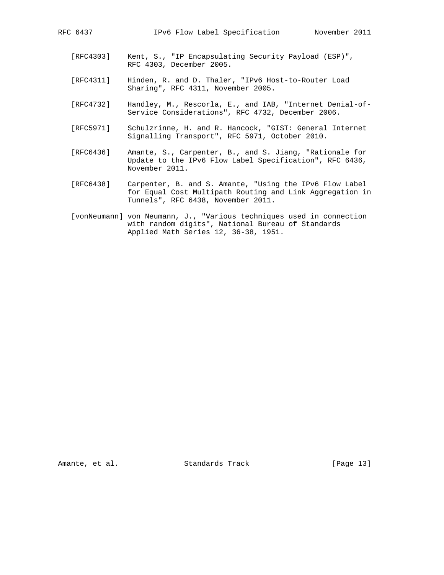- [RFC4303] Kent, S., "IP Encapsulating Security Payload (ESP)", RFC 4303, December 2005.
- [RFC4311] Hinden, R. and D. Thaler, "IPv6 Host-to-Router Load Sharing", RFC 4311, November 2005.
- [RFC4732] Handley, M., Rescorla, E., and IAB, "Internet Denial-of- Service Considerations", RFC 4732, December 2006.
- [RFC5971] Schulzrinne, H. and R. Hancock, "GIST: General Internet Signalling Transport", RFC 5971, October 2010.
- [RFC6436] Amante, S., Carpenter, B., and S. Jiang, "Rationale for Update to the IPv6 Flow Label Specification", RFC 6436, November 2011.
- [RFC6438] Carpenter, B. and S. Amante, "Using the IPv6 Flow Label for Equal Cost Multipath Routing and Link Aggregation in Tunnels", RFC 6438, November 2011.
- [vonNeumann] von Neumann, J., "Various techniques used in connection with random digits", National Bureau of Standards Applied Math Series 12, 36-38, 1951.

Amante, et al. Standards Track [Page 13]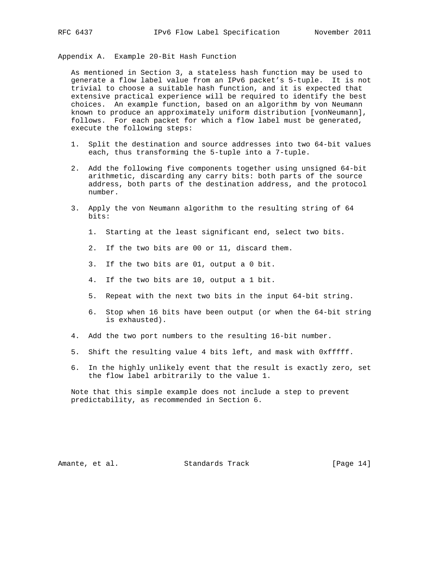Appendix A. Example 20-Bit Hash Function

 As mentioned in Section 3, a stateless hash function may be used to generate a flow label value from an IPv6 packet's 5-tuple. It is not trivial to choose a suitable hash function, and it is expected that extensive practical experience will be required to identify the best choices. An example function, based on an algorithm by von Neumann known to produce an approximately uniform distribution [vonNeumann], follows. For each packet for which a flow label must be generated, execute the following steps:

- 1. Split the destination and source addresses into two 64-bit values each, thus transforming the 5-tuple into a 7-tuple.
- 2. Add the following five components together using unsigned 64-bit arithmetic, discarding any carry bits: both parts of the source address, both parts of the destination address, and the protocol number.
- 3. Apply the von Neumann algorithm to the resulting string of 64 bits:
	- 1. Starting at the least significant end, select two bits.
	- 2. If the two bits are 00 or 11, discard them.
	- 3. If the two bits are 01, output a 0 bit.
	- 4. If the two bits are 10, output a 1 bit.
	- 5. Repeat with the next two bits in the input 64-bit string.
	- 6. Stop when 16 bits have been output (or when the 64-bit string is exhausted).
- 4. Add the two port numbers to the resulting 16-bit number.
- 5. Shift the resulting value 4 bits left, and mask with 0xfffff.
- 6. In the highly unlikely event that the result is exactly zero, set the flow label arbitrarily to the value 1.

 Note that this simple example does not include a step to prevent predictability, as recommended in Section 6.

Amante, et al. Standards Track [Page 14]